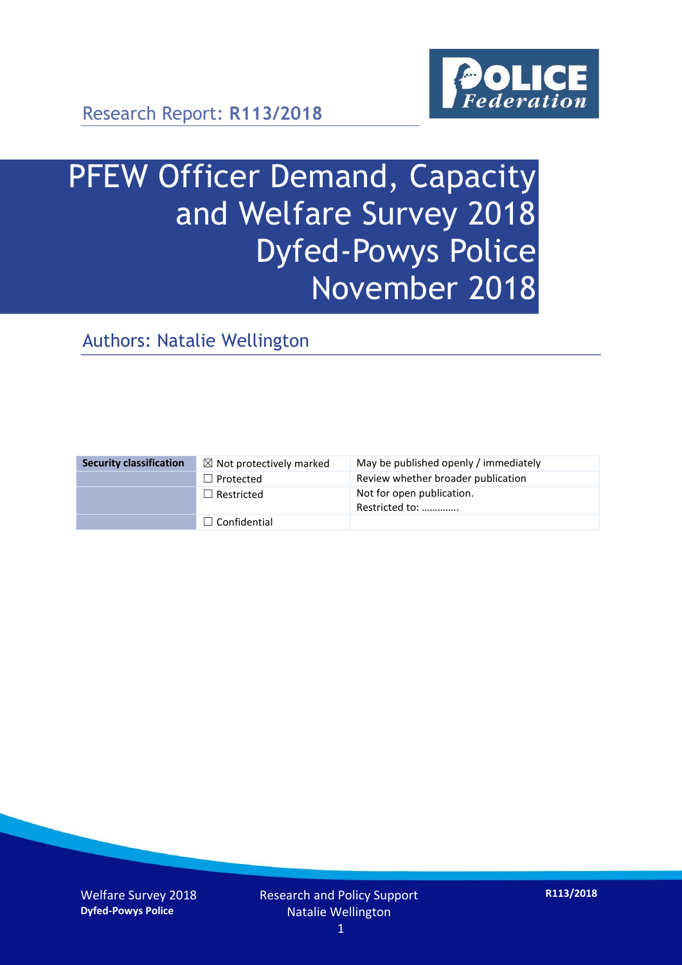

# PFEW Officer Demand, Capacity and Welfare Survey 2018 Dyfed-Powys Police November 2018

Authors: Natalie Wellington

| <b>Security classification</b> | $\boxtimes$ Not protectively marked | May be published openly / immediately       |
|--------------------------------|-------------------------------------|---------------------------------------------|
|                                | $\Box$ Protected                    | Review whether broader publication          |
|                                | $\Box$ Restricted                   | Not for open publication.<br>Restricted to: |
|                                | $\Box$ Confidential                 |                                             |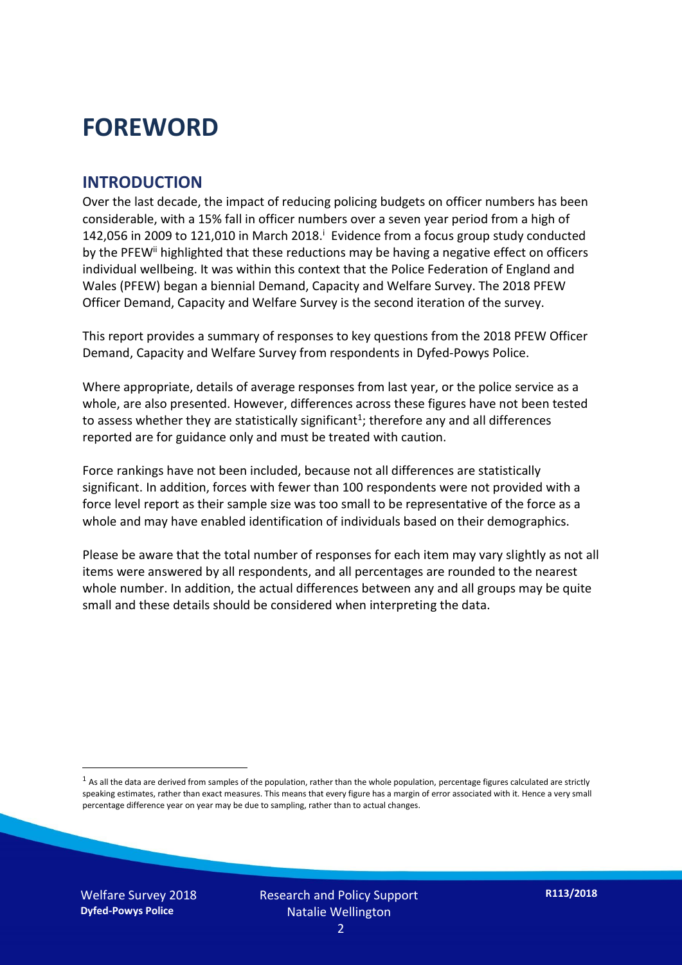### **FOREWORD**

#### **INTRODUCTION**

Over the last decade, the impact of reducing policing budgets on officer numbers has been considerable, with a 15% fall in officer numbers over a seven year period from a high of 142,056 in 2009 to 121,010 in March 2018. $^{\mathrm{i}}$  Evidence from a focus group study conducted by the PFEW<sup>ii</sup> highlighted that these reductions may be having a negative effect on officers individual wellbeing. It was within this context that the Police Federation of England and Wales (PFEW) began a biennial Demand, Capacity and Welfare Survey. The 2018 PFEW Officer Demand, Capacity and Welfare Survey is the second iteration of the survey.

This report provides a summary of responses to key questions from the 2018 PFEW Officer Demand, Capacity and Welfare Survey from respondents in Dyfed-Powys Police.

Where appropriate, details of average responses from last year, or the police service as a whole, are also presented. However, differences across these figures have not been tested to assess whether they are statistically significant<sup>1</sup>; therefore any and all differences reported are for guidance only and must be treated with caution.

Force rankings have not been included, because not all differences are statistically significant. In addition, forces with fewer than 100 respondents were not provided with a force level report as their sample size was too small to be representative of the force as a whole and may have enabled identification of individuals based on their demographics.

Please be aware that the total number of responses for each item may vary slightly as not all items were answered by all respondents, and all percentages are rounded to the nearest whole number. In addition, the actual differences between any and all groups may be quite small and these details should be considered when interpreting the data.

Welfare Survey 2018 **Dyfed-Powys Police**

-

 $<sup>1</sup>$  As all the data are derived from samples of the population, rather than the whole population, percentage figures calculated are strictly</sup> speaking estimates, rather than exact measures. This means that every figure has a margin of error associated with it. Hence a very small percentage difference year on year may be due to sampling, rather than to actual changes.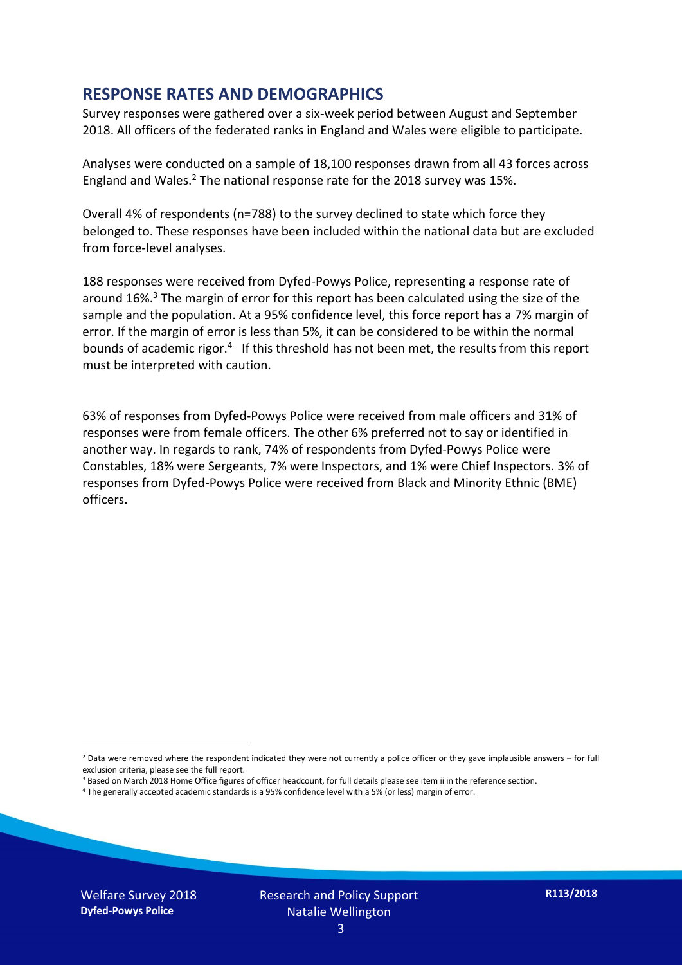#### **RESPONSE RATES AND DEMOGRAPHICS**

Survey responses were gathered over a six-week period between August and September 2018. All officers of the federated ranks in England and Wales were eligible to participate.

Analyses were conducted on a sample of 18,100 responses drawn from all 43 forces across England and Wales.<sup>2</sup> The national response rate for the 2018 survey was 15%.

Overall 4% of respondents (n=788) to the survey declined to state which force they belonged to. These responses have been included within the national data but are excluded from force-level analyses.

188 responses were received from Dyfed-Powys Police, representing a response rate of around 16%. <sup>3</sup> The margin of error for this report has been calculated using the size of the sample and the population. At a 95% confidence level, this force report has a 7% margin of error. If the margin of error is less than 5%, it can be considered to be within the normal bounds of academic rigor.<sup>4</sup> If this threshold has not been met, the results from this report must be interpreted with caution.

63% of responses from Dyfed-Powys Police were received from male officers and 31% of responses were from female officers. The other 6% preferred not to say or identified in another way. In regards to rank, 74% of respondents from Dyfed-Powys Police were Constables, 18% were Sergeants, 7% were Inspectors, and 1% were Chief Inspectors. 3% of responses from Dyfed-Powys Police were received from Black and Minority Ethnic (BME) officers.

-

 $2$  Data were removed where the respondent indicated they were not currently a police officer or they gave implausible answers – for full exclusion criteria, please see the full report.

<sup>3</sup> Based on March 2018 Home Office figures of officer headcount, for full details please see item ii in the reference section.

<sup>4</sup> The generally accepted academic standards is a 95% confidence level with a 5% (or less) margin of error.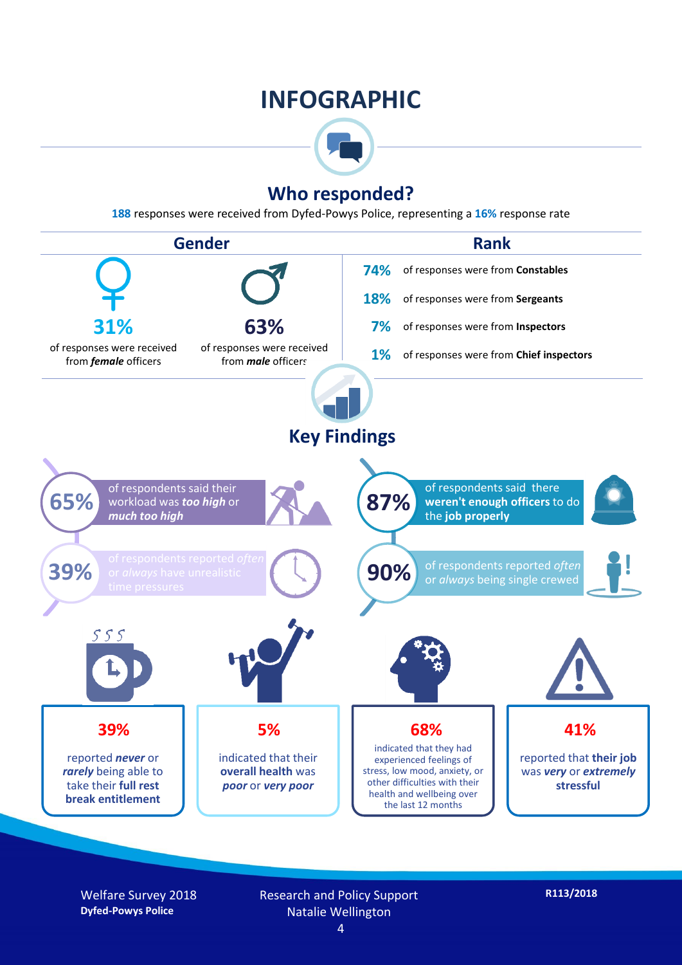### **INFOGRAPHIC**



#### **Who responded?**

**188** responses were received from Dyfed-Powys Police, representing a **16%** response rate



Welfare Survey 2018 **Dyfed-Powys Police**

Research and Policy Support Natalie Wellington

**R113/2018**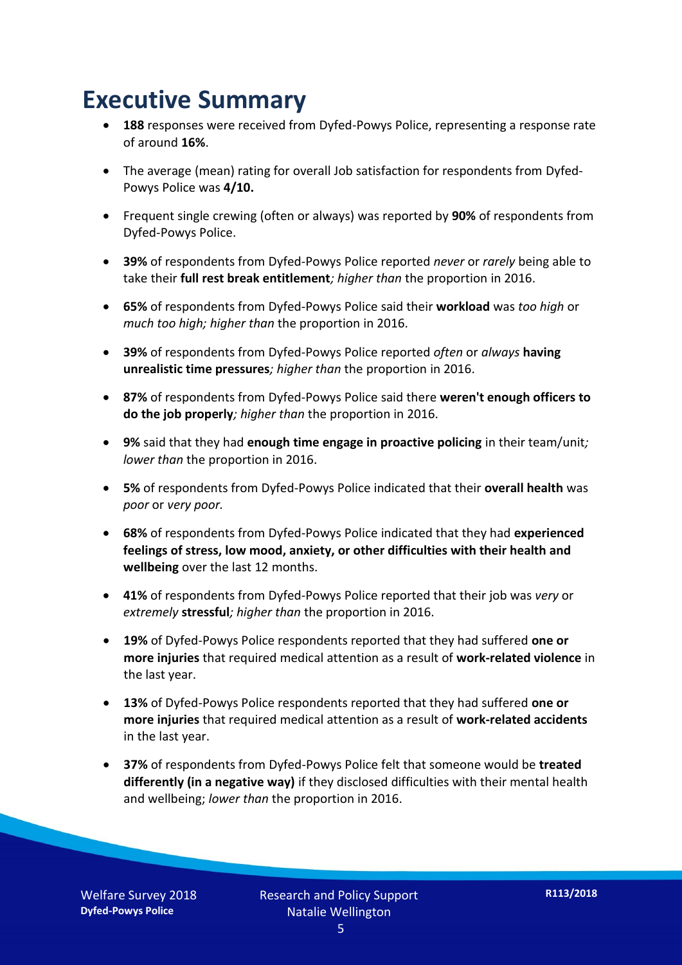### **Executive Summary**

- **188** responses were received from Dyfed-Powys Police, representing a response rate of around **16%**.
- The average (mean) rating for overall Job satisfaction for respondents from Dyfed-Powys Police was **4/10.**
- Frequent single crewing (often or always) was reported by **90%** of respondents from Dyfed-Powys Police.
- **39%** of respondents from Dyfed-Powys Police reported *never* or *rarely* being able to take their **full rest break entitlement***; higher than* the proportion in 2016.
- **65%** of respondents from Dyfed-Powys Police said their **workload** was *too high* or *much too high; higher than* the proportion in 2016.
- **39%** of respondents from Dyfed-Powys Police reported *often* or *always* **having unrealistic time pressures***; higher than* the proportion in 2016.
- **87%** of respondents from Dyfed-Powys Police said there **weren't enough officers to do the job properly***; higher than* the proportion in 2016.
- **9%** said that they had **enough time engage in proactive policing** in their team/unit*; lower than* the proportion in 2016.
- **5%** of respondents from Dyfed-Powys Police indicated that their **overall health** was *poor* or *very poor.*
- **68%** of respondents from Dyfed-Powys Police indicated that they had **experienced feelings of stress, low mood, anxiety, or other difficulties with their health and wellbeing** over the last 12 months.
- **41%** of respondents from Dyfed-Powys Police reported that their job was *very* or *extremely* **stressful***; higher than* the proportion in 2016.
- **19%** of Dyfed-Powys Police respondents reported that they had suffered **one or more injuries** that required medical attention as a result of **work-related violence** in the last year.
- **13%** of Dyfed-Powys Police respondents reported that they had suffered **one or more injuries** that required medical attention as a result of **work-related accidents**  in the last year.
- **37%** of respondents from Dyfed-Powys Police felt that someone would be **treated differently (in a negative way)** if they disclosed difficulties with their mental health and wellbeing; *lower than* the proportion in 2016.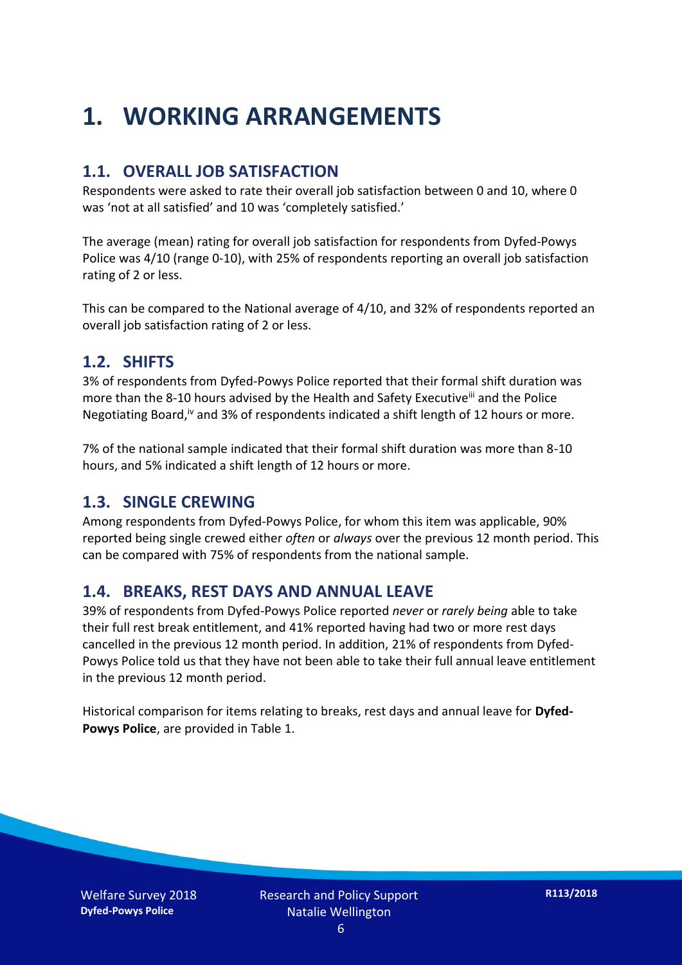## **1. WORKING ARRANGEMENTS**

#### **1.1. OVERALL JOB SATISFACTION**

Respondents were asked to rate their overall job satisfaction between 0 and 10, where 0 was 'not at all satisfied' and 10 was 'completely satisfied.'

The average (mean) rating for overall job satisfaction for respondents from Dyfed-Powys Police was 4/10 (range 0-10), with 25% of respondents reporting an overall job satisfaction rating of 2 or less.

This can be compared to the National average of 4/10, and 32% of respondents reported an overall job satisfaction rating of 2 or less.

#### **1.2. SHIFTS**

3% of respondents from Dyfed-Powys Police reported that their formal shift duration was more than the 8-10 hours advised by the Health and Safety Executive<sup>iii</sup> and the Police Negotiating Board,<sup>iv</sup> and 3% of respondents indicated a shift length of 12 hours or more.

7% of the national sample indicated that their formal shift duration was more than 8-10 hours, and 5% indicated a shift length of 12 hours or more.

#### **1.3. SINGLE CREWING**

Among respondents from Dyfed-Powys Police, for whom this item was applicable, 90% reported being single crewed either *often* or *always* over the previous 12 month period. This can be compared with 75% of respondents from the national sample.

#### **1.4. BREAKS, REST DAYS AND ANNUAL LEAVE**

39% of respondents from Dyfed-Powys Police reported *never* or *rarely being* able to take their full rest break entitlement, and 41% reported having had two or more rest days cancelled in the previous 12 month period. In addition, 21% of respondents from Dyfed-Powys Police told us that they have not been able to take their full annual leave entitlement in the previous 12 month period.

Historical comparison for items relating to breaks, rest days and annual leave for **Dyfed-Powys Police**, are provided in Table 1.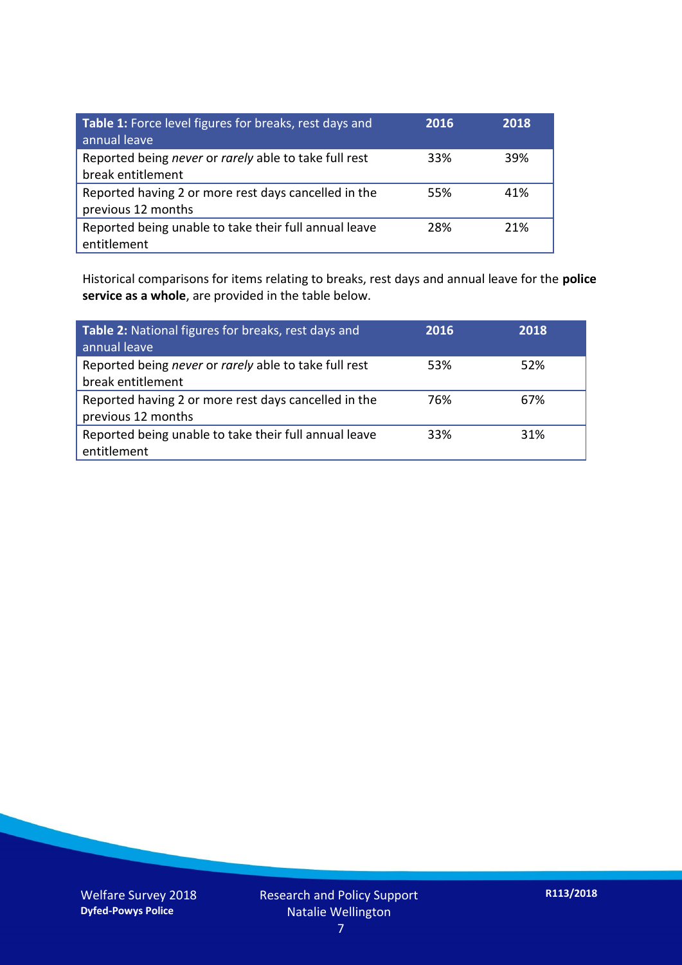| Table 1: Force level figures for breaks, rest days and<br>annual leave     | 2016 | 2018 |
|----------------------------------------------------------------------------|------|------|
| Reported being never or rarely able to take full rest<br>break entitlement | 33%  | 39%  |
| Reported having 2 or more rest days cancelled in the<br>previous 12 months | 55%  | 41%  |
| Reported being unable to take their full annual leave<br>entitlement       | 28%  | 21%  |

Historical comparisons for items relating to breaks, rest days and annual leave for the **police service as a whole**, are provided in the table below.

| Table 2: National figures for breaks, rest days and<br>annual leave        | 2016 | 2018 |
|----------------------------------------------------------------------------|------|------|
| Reported being never or rarely able to take full rest<br>break entitlement | 53%  | 52%  |
| Reported having 2 or more rest days cancelled in the<br>previous 12 months | 76%  | 67%  |
| Reported being unable to take their full annual leave<br>entitlement       | 33%  | 31%  |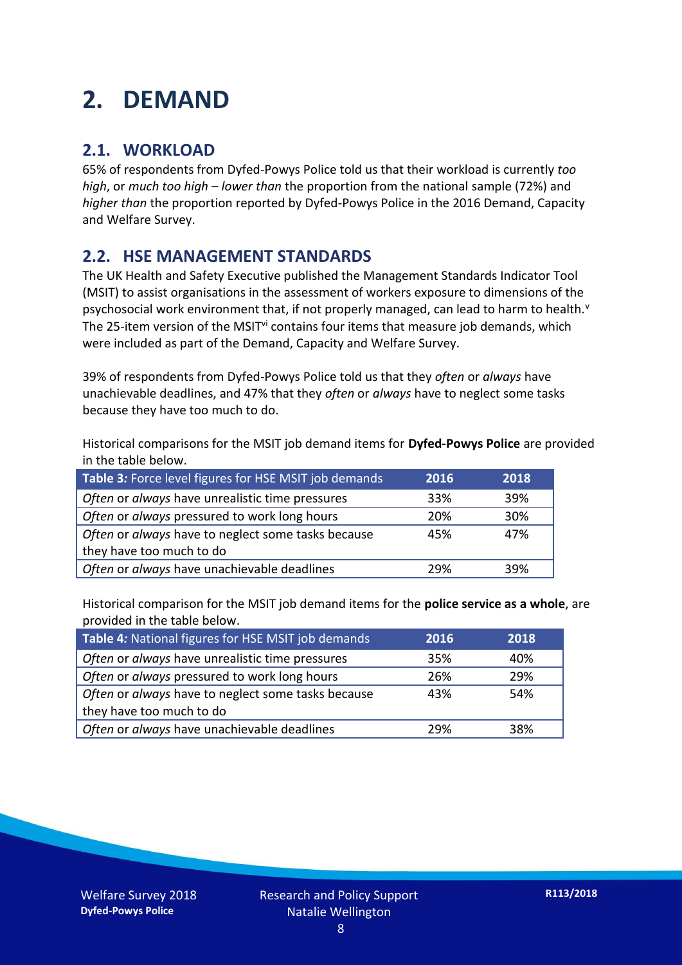## **2. DEMAND**

#### **2.1. WORKLOAD**

65% of respondents from Dyfed-Powys Police told us that their workload is currently *too high*, or *much too high* – *lower than* the proportion from the national sample (72%) and *higher than* the proportion reported by Dyfed-Powys Police in the 2016 Demand, Capacity and Welfare Survey.

#### **2.2. HSE MANAGEMENT STANDARDS**

The UK Health and Safety Executive published the Management Standards Indicator Tool (MSIT) to assist organisations in the assessment of workers exposure to dimensions of the psychosocial work environment that, if not properly managed, can lead to harm to health.<sup>v</sup> The 25-item version of the MSIT<sup>vi</sup> contains four items that measure job demands, which were included as part of the Demand, Capacity and Welfare Survey.

39% of respondents from Dyfed-Powys Police told us that they *often* or *always* have unachievable deadlines, and 47% that they *often* or *always* have to neglect some tasks because they have too much to do.

Historical comparisons for the MSIT job demand items for **Dyfed-Powys Police** are provided in the table below.

| Table 3: Force level figures for HSE MSIT job demands | 2016 | 2018 |
|-------------------------------------------------------|------|------|
| Often or always have unrealistic time pressures       | 33%  | 39%  |
| Often or always pressured to work long hours          | 20%  | 30%  |
| Often or always have to neglect some tasks because    | 45%  | 47%  |
| they have too much to do                              |      |      |
| Often or always have unachievable deadlines           | 29%  | 39%  |

Historical comparison for the MSIT job demand items for the **police service as a whole**, are provided in the table below.

| Table 4: National figures for HSE MSIT job demands | 2016 | 2018 |
|----------------------------------------------------|------|------|
| Often or always have unrealistic time pressures    | 35%  | 40%  |
| Often or always pressured to work long hours       | 26%  | 29%  |
| Often or always have to neglect some tasks because | 43%  | 54%  |
| they have too much to do                           |      |      |
| Often or always have unachievable deadlines        | 29%  | 38%  |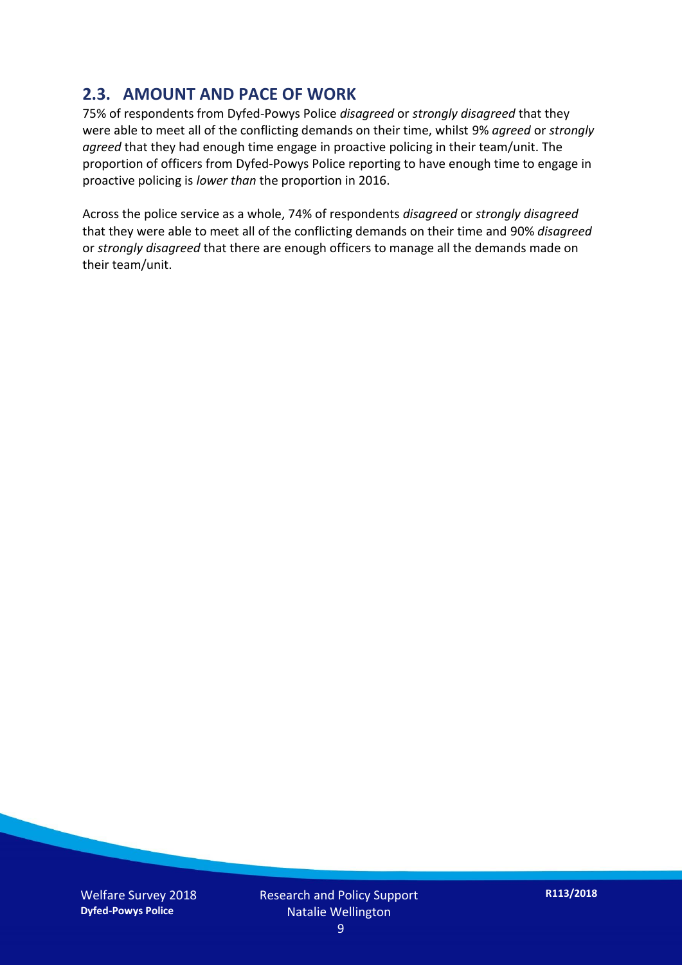#### **2.3. AMOUNT AND PACE OF WORK**

75% of respondents from Dyfed-Powys Police *disagreed* or *strongly disagreed* that they were able to meet all of the conflicting demands on their time, whilst 9% *agreed* or *strongly agreed* that they had enough time engage in proactive policing in their team/unit. The proportion of officers from Dyfed-Powys Police reporting to have enough time to engage in proactive policing is *lower than* the proportion in 2016.

Across the police service as a whole, 74% of respondents *disagreed* or *strongly disagreed* that they were able to meet all of the conflicting demands on their time and 90% *disagreed* or *strongly disagreed* that there are enough officers to manage all the demands made on their team/unit.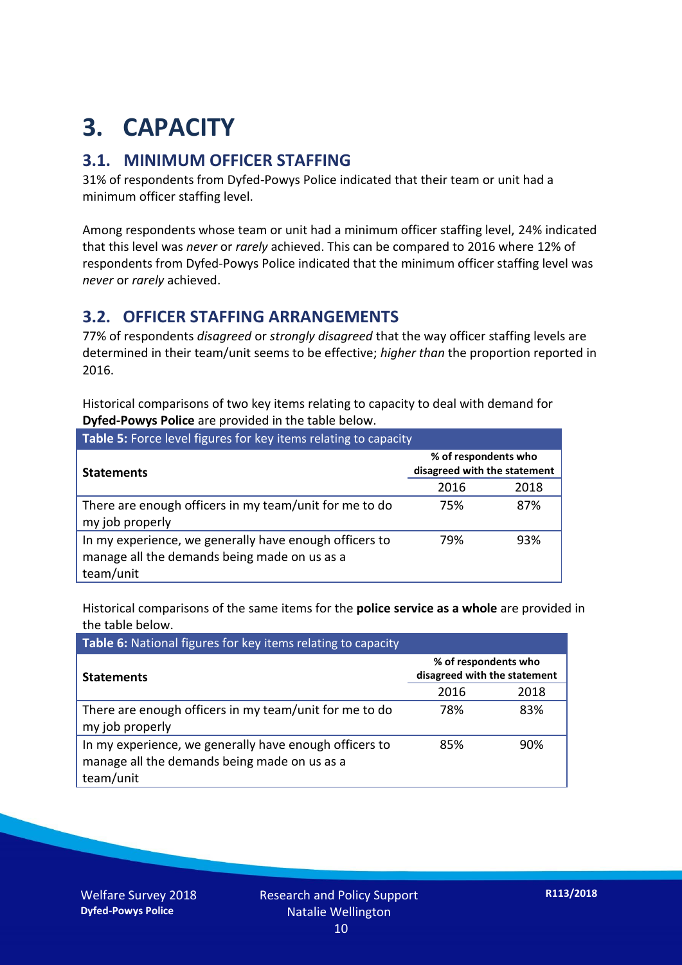## **3. CAPACITY**

#### **3.1. MINIMUM OFFICER STAFFING**

31% of respondents from Dyfed-Powys Police indicated that their team or unit had a minimum officer staffing level.

Among respondents whose team or unit had a minimum officer staffing level, 24% indicated that this level was *never* or *rarely* achieved. This can be compared to 2016 where 12% of respondents from Dyfed-Powys Police indicated that the minimum officer staffing level was *never* or *rarely* achieved.

#### **3.2. OFFICER STAFFING ARRANGEMENTS**

77% of respondents *disagreed* or *strongly disagreed* that the way officer staffing levels are determined in their team/unit seems to be effective; *higher than* the proportion reported in 2016.

Historical comparisons of two key items relating to capacity to deal with demand for **Dyfed-Powys Police** are provided in the table below.

| Table 5: Force level figures for key items relating to capacity                                                     |                                                      |      |  |
|---------------------------------------------------------------------------------------------------------------------|------------------------------------------------------|------|--|
| <b>Statements</b>                                                                                                   | % of respondents who<br>disagreed with the statement |      |  |
|                                                                                                                     | 2016                                                 | 2018 |  |
| There are enough officers in my team/unit for me to do<br>my job properly                                           | 75%                                                  | 87%  |  |
| In my experience, we generally have enough officers to<br>manage all the demands being made on us as a<br>team/unit | 79%                                                  | 93%  |  |

Historical comparisons of the same items for the **police service as a whole** are provided in the table below.

| Table 6: National figures for key items relating to capacity                                                        |                                                      |      |  |  |
|---------------------------------------------------------------------------------------------------------------------|------------------------------------------------------|------|--|--|
| <b>Statements</b>                                                                                                   | % of respondents who<br>disagreed with the statement |      |  |  |
|                                                                                                                     | 2016                                                 | 2018 |  |  |
| There are enough officers in my team/unit for me to do<br>my job properly                                           | 78%                                                  | 83%  |  |  |
| In my experience, we generally have enough officers to<br>manage all the demands being made on us as a<br>team/unit | 85%                                                  | 90%  |  |  |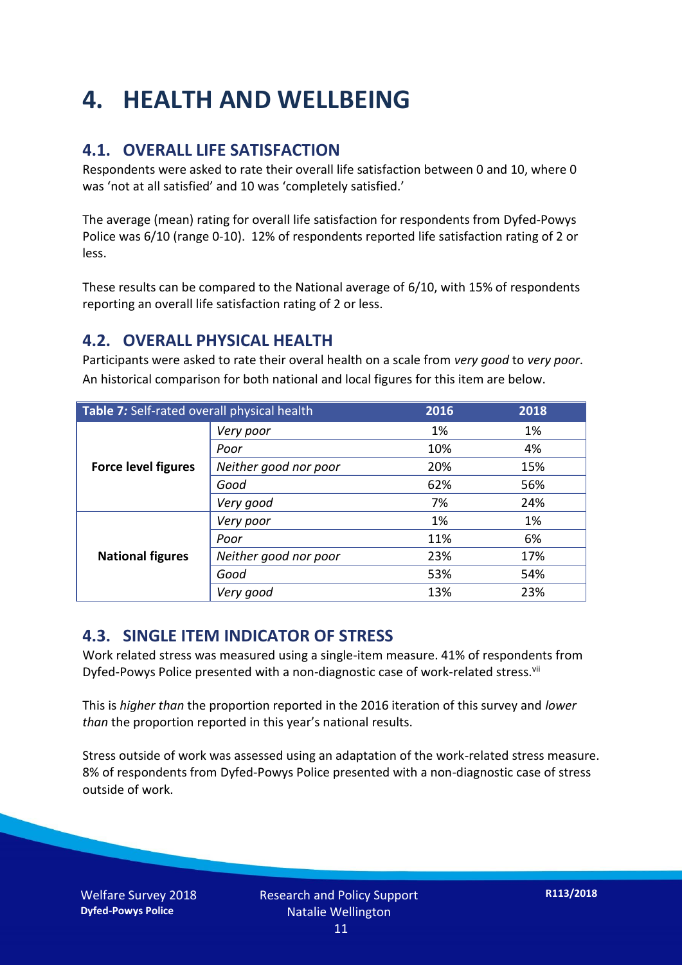## **4. HEALTH AND WELLBEING**

#### **4.1. OVERALL LIFE SATISFACTION**

Respondents were asked to rate their overall life satisfaction between 0 and 10, where 0 was 'not at all satisfied' and 10 was 'completely satisfied.'

The average (mean) rating for overall life satisfaction for respondents from Dyfed-Powys Police was 6/10 (range 0-10). 12% of respondents reported life satisfaction rating of 2 or less.

These results can be compared to the National average of 6/10, with 15% of respondents reporting an overall life satisfaction rating of 2 or less.

#### **4.2. OVERALL PHYSICAL HEALTH**

Participants were asked to rate their overal health on a scale from *very good* to *very poor*. An historical comparison for both national and local figures for this item are below.

| Table 7: Self-rated overall physical health |                       | 2016 | 2018 |
|---------------------------------------------|-----------------------|------|------|
| <b>Force level figures</b>                  | Very poor             | 1%   | 1%   |
|                                             | Poor                  | 10%  | 4%   |
|                                             | Neither good nor poor | 20%  | 15%  |
|                                             | Good                  | 62%  | 56%  |
|                                             | Very good             | 7%   | 24%  |
| <b>National figures</b>                     | Very poor             | 1%   | 1%   |
|                                             | Poor                  | 11%  | 6%   |
|                                             | Neither good nor poor | 23%  | 17%  |
|                                             | Good                  | 53%  | 54%  |
|                                             | Very good             | 13%  | 23%  |

#### **4.3. SINGLE ITEM INDICATOR OF STRESS**

Work related stress was measured using a single-item measure. 41% of respondents from Dyfed-Powys Police presented with a non-diagnostic case of work-related stress.<sup>vii</sup>

This is *higher than* the proportion reported in the 2016 iteration of this survey and *lower than* the proportion reported in this year's national results.

Stress outside of work was assessed using an adaptation of the work-related stress measure. 8% of respondents from Dyfed-Powys Police presented with a non-diagnostic case of stress outside of work.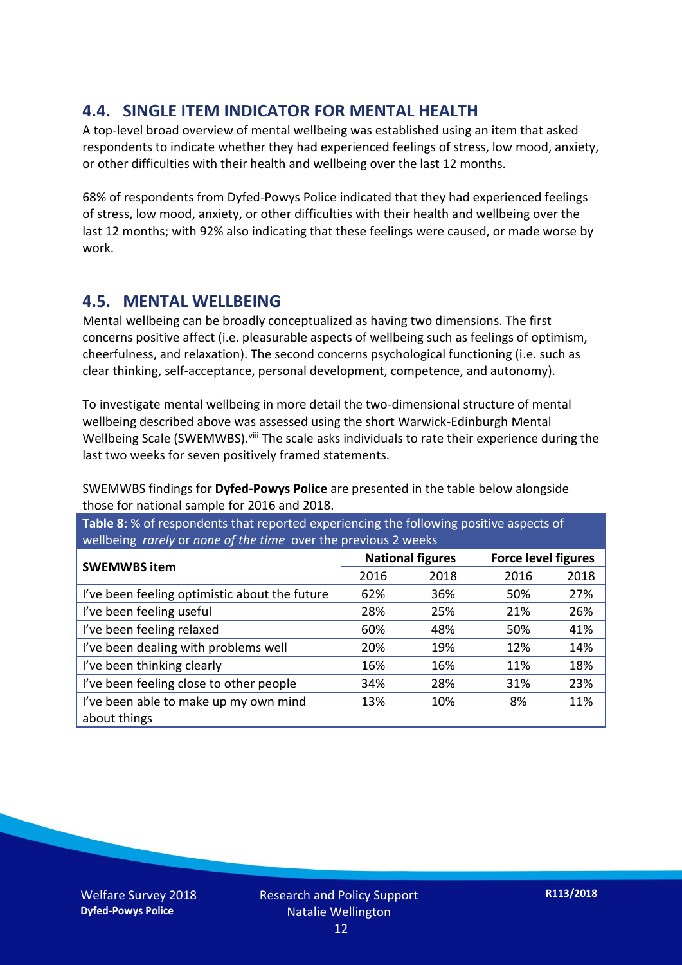#### **4.4. SINGLE ITEM INDICATOR FOR MENTAL HEALTH**

A top-level broad overview of mental wellbeing was established using an item that asked respondents to indicate whether they had experienced feelings of stress, low mood, anxiety, or other difficulties with their health and wellbeing over the last 12 months.

68% of respondents from Dyfed-Powys Police indicated that they had experienced feelings of stress, low mood, anxiety, or other difficulties with their health and wellbeing over the last 12 months; with 92% also indicating that these feelings were caused, or made worse by work.

#### **4.5. MENTAL WELLBEING**

Mental wellbeing can be broadly conceptualized as having two dimensions. The first concerns positive affect (i.e. pleasurable aspects of wellbeing such as feelings of optimism, cheerfulness, and relaxation). The second concerns psychological functioning (i.e. such as clear thinking, self-acceptance, personal development, competence, and autonomy).

To investigate mental wellbeing in more detail the two-dimensional structure of mental wellbeing described above was assessed using the short Warwick-Edinburgh Mental Wellbeing Scale (SWEMWBS). viii The scale asks individuals to rate their experience during the last two weeks for seven positively framed statements.

SWEMWBS findings for **Dyfed-Powys Police** are presented in the table below alongside those for national sample for 2016 and 2018.

**Table 8**: % of respondents that reported experiencing the following positive aspects of wellbeing *rarely* or *none of the time* over the previous 2 weeks

| <b>SWEMWBS item</b>                           | <b>National figures</b> |      | <b>Force level figures</b> |      |
|-----------------------------------------------|-------------------------|------|----------------------------|------|
|                                               | 2016                    | 2018 | 2016                       | 2018 |
| I've been feeling optimistic about the future | 62%                     | 36%  | 50%                        | 27%  |
| I've been feeling useful                      | 28%                     | 25%  | 21%                        | 26%  |
| I've been feeling relaxed                     | 60%                     | 48%  | 50%                        | 41%  |
| I've been dealing with problems well          | 20%                     | 19%  | 12%                        | 14%  |
| I've been thinking clearly                    | 16%                     | 16%  | 11%                        | 18%  |
| I've been feeling close to other people       | 34%                     | 28%  | 31%                        | 23%  |
| I've been able to make up my own mind         | 13%                     | 10%  | 8%                         | 11%  |
| about things                                  |                         |      |                            |      |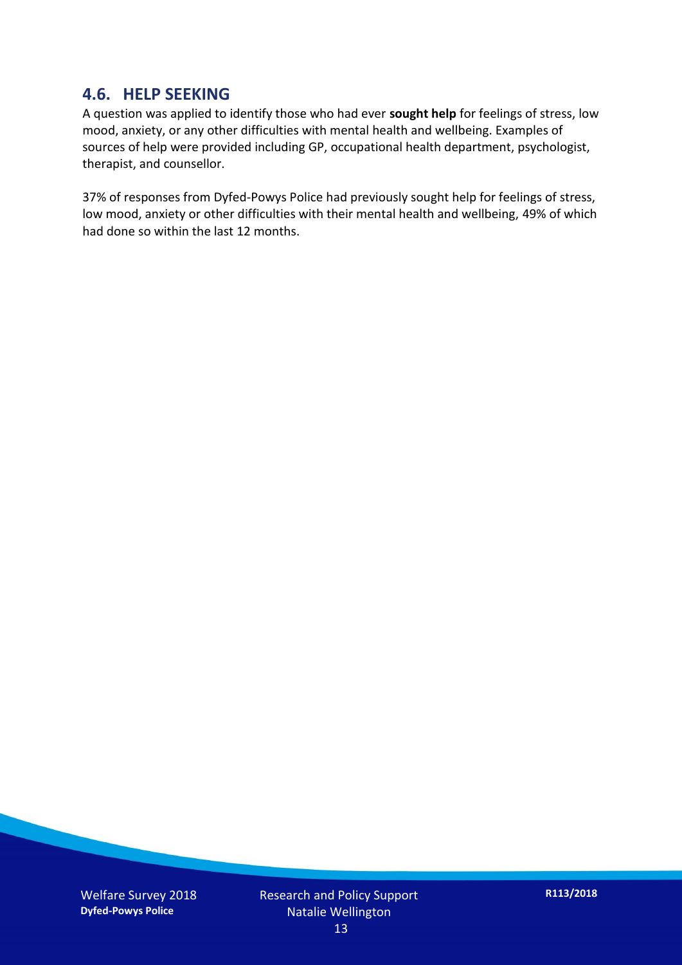#### **4.6. HELP SEEKING**

A question was applied to identify those who had ever **sought help** for feelings of stress, low mood, anxiety, or any other difficulties with mental health and wellbeing. Examples of sources of help were provided including GP, occupational health department, psychologist, therapist, and counsellor.

37% of responses from Dyfed-Powys Police had previously sought help for feelings of stress, low mood, anxiety or other difficulties with their mental health and wellbeing, 49% of which had done so within the last 12 months.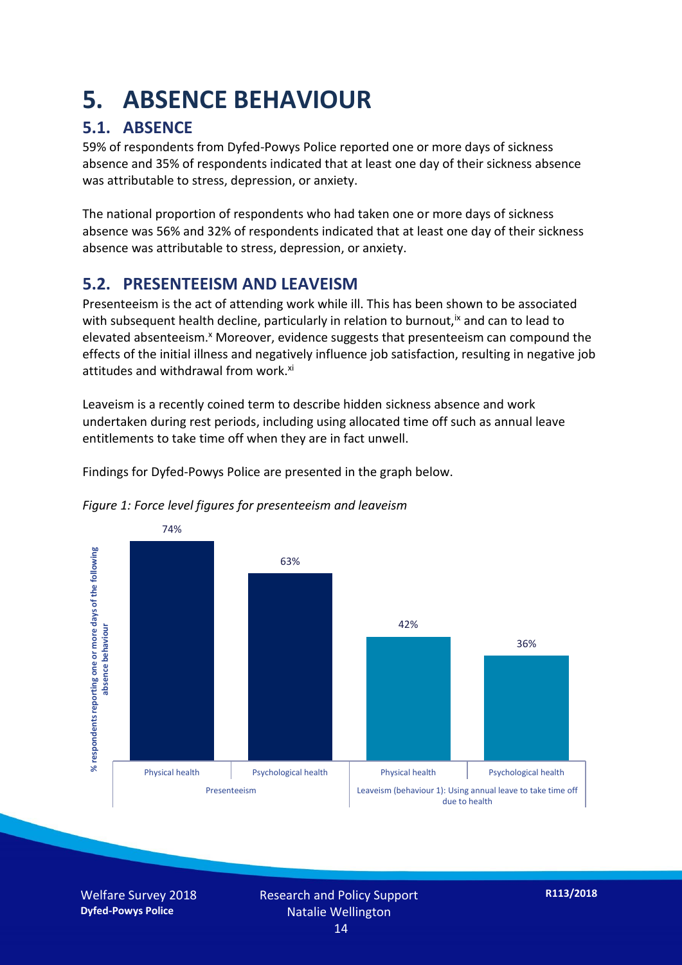### **5. ABSENCE BEHAVIOUR**

#### **5.1. ABSENCE**

59% of respondents from Dyfed-Powys Police reported one or more days of sickness absence and 35% of respondents indicated that at least one day of their sickness absence was attributable to stress, depression, or anxiety.

The national proportion of respondents who had taken one or more days of sickness absence was 56% and 32% of respondents indicated that at least one day of their sickness absence was attributable to stress, depression, or anxiety.

#### **5.2. PRESENTEEISM AND LEAVEISM**

Presenteeism is the act of attending work while ill. This has been shown to be associated with subsequent health decline, particularly in relation to burnout,  $\alpha$  and can to lead to elevated absenteeism.<sup>x</sup> Moreover, evidence suggests that presenteeism can compound the effects of the initial illness and negatively influence job satisfaction, resulting in negative job attitudes and withdrawal from work.<sup>xi</sup>

Leaveism is a recently coined term to describe hidden sickness absence and work undertaken during rest periods, including using allocated time off such as annual leave entitlements to take time off when they are in fact unwell.

Findings for Dyfed-Powys Police are presented in the graph below.



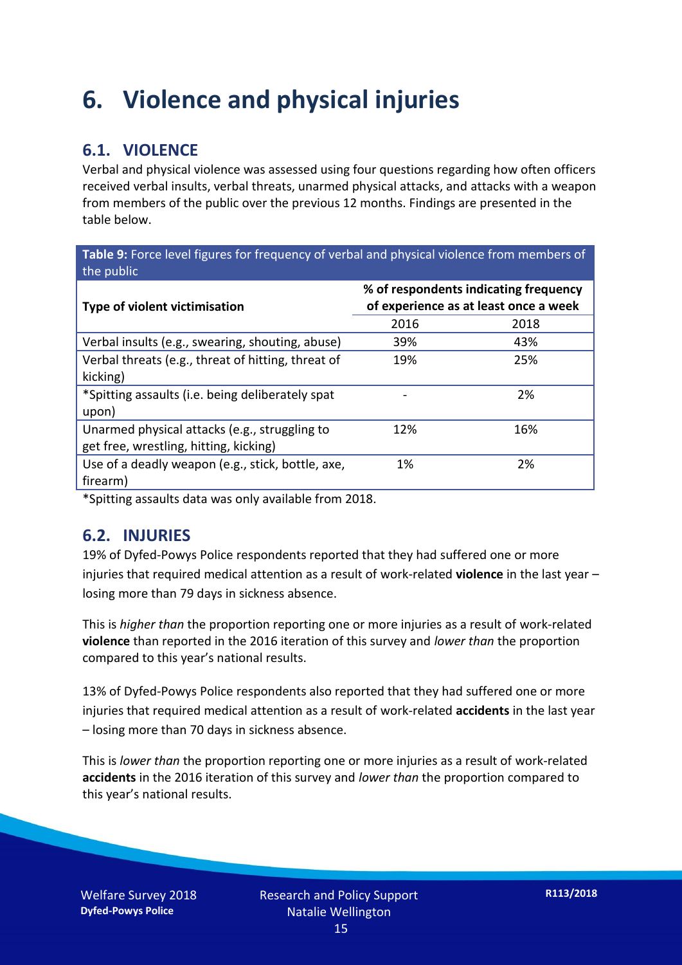### **6. Violence and physical injuries**

#### **6.1. VIOLENCE**

Verbal and physical violence was assessed using four questions regarding how often officers received verbal insults, verbal threats, unarmed physical attacks, and attacks with a weapon from members of the public over the previous 12 months. Findings are presented in the table below.

**Table 9:** Force level figures for frequency of verbal and physical violence from members of the public

| <b>Type of violent victimisation</b>               | % of respondents indicating frequency<br>of experience as at least once a week |      |  |
|----------------------------------------------------|--------------------------------------------------------------------------------|------|--|
|                                                    | 2016                                                                           | 2018 |  |
| Verbal insults (e.g., swearing, shouting, abuse)   | 39%                                                                            | 43%  |  |
| Verbal threats (e.g., threat of hitting, threat of | 19%                                                                            | 25%  |  |
| kicking)                                           |                                                                                |      |  |
| *Spitting assaults (i.e. being deliberately spat   |                                                                                | 2%   |  |
| upon)                                              |                                                                                |      |  |
| Unarmed physical attacks (e.g., struggling to      | 12%                                                                            | 16%  |  |
| get free, wrestling, hitting, kicking)             |                                                                                |      |  |
| Use of a deadly weapon (e.g., stick, bottle, axe,  | 1%                                                                             | 2%   |  |
| firearm)                                           |                                                                                |      |  |

\*Spitting assaults data was only available from 2018.

#### **6.2. INJURIES**

19% of Dyfed-Powys Police respondents reported that they had suffered one or more injuries that required medical attention as a result of work-related **violence** in the last year – losing more than 79 days in sickness absence.

This is *higher than* the proportion reporting one or more injuries as a result of work-related **violence** than reported in the 2016 iteration of this survey and *lower than* the proportion compared to this year's national results.

13% of Dyfed-Powys Police respondents also reported that they had suffered one or more injuries that required medical attention as a result of work-related **accidents** in the last year – losing more than 70 days in sickness absence.

This is *lower than* the proportion reporting one or more injuries as a result of work-related **accidents** in the 2016 iteration of this survey and *lower than* the proportion compared to this year's national results.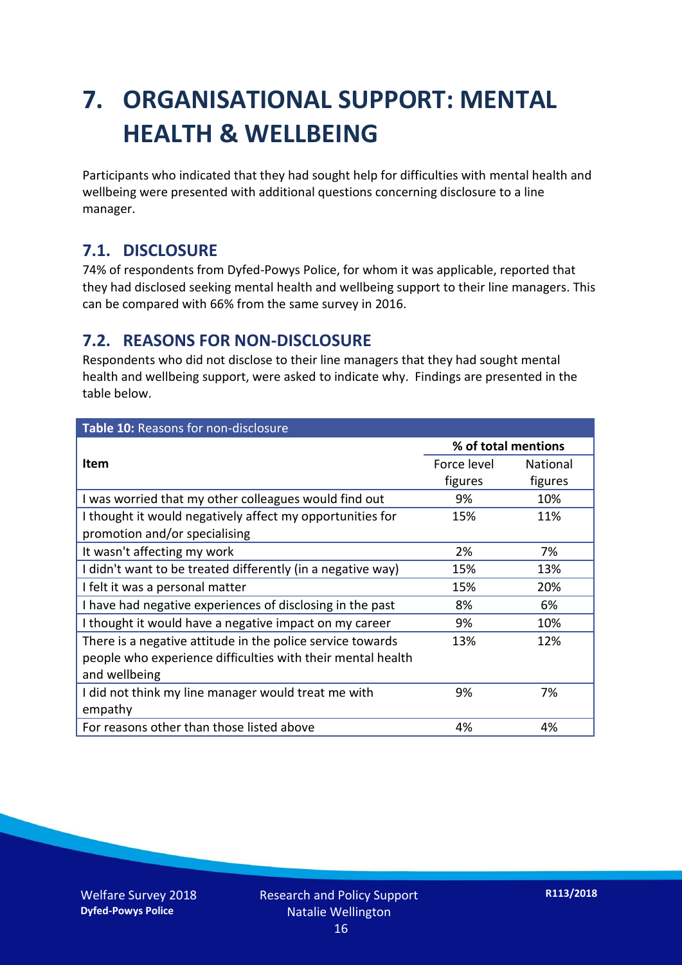## **7. ORGANISATIONAL SUPPORT: MENTAL HEALTH & WELLBEING**

Participants who indicated that they had sought help for difficulties with mental health and wellbeing were presented with additional questions concerning disclosure to a line manager.

#### **7.1. DISCLOSURE**

74% of respondents from Dyfed-Powys Police, for whom it was applicable, reported that they had disclosed seeking mental health and wellbeing support to their line managers. This can be compared with 66% from the same survey in 2016.

#### **7.2. REASONS FOR NON-DISCLOSURE**

Respondents who did not disclose to their line managers that they had sought mental health and wellbeing support, were asked to indicate why. Findings are presented in the table below.

| Table 10: Reasons for non-disclosure                        |                     |          |  |
|-------------------------------------------------------------|---------------------|----------|--|
|                                                             | % of total mentions |          |  |
| Item                                                        | Force level         | National |  |
|                                                             | figures             | figures  |  |
| I was worried that my other colleagues would find out       | 9%                  | 10%      |  |
| I thought it would negatively affect my opportunities for   | 15%                 | 11%      |  |
| promotion and/or specialising                               |                     |          |  |
| It wasn't affecting my work                                 | 2%                  | 7%       |  |
| I didn't want to be treated differently (in a negative way) | 15%                 | 13%      |  |
| I felt it was a personal matter                             | 15%                 | 20%      |  |
| I have had negative experiences of disclosing in the past   | 8%                  | 6%       |  |
| I thought it would have a negative impact on my career      | 9%                  | 10%      |  |
| There is a negative attitude in the police service towards  | 13%                 | 12%      |  |
| people who experience difficulties with their mental health |                     |          |  |
| and wellbeing                                               |                     |          |  |
| I did not think my line manager would treat me with         | 9%                  | 7%       |  |
| empathy                                                     |                     |          |  |
| For reasons other than those listed above                   | 4%                  | 4%       |  |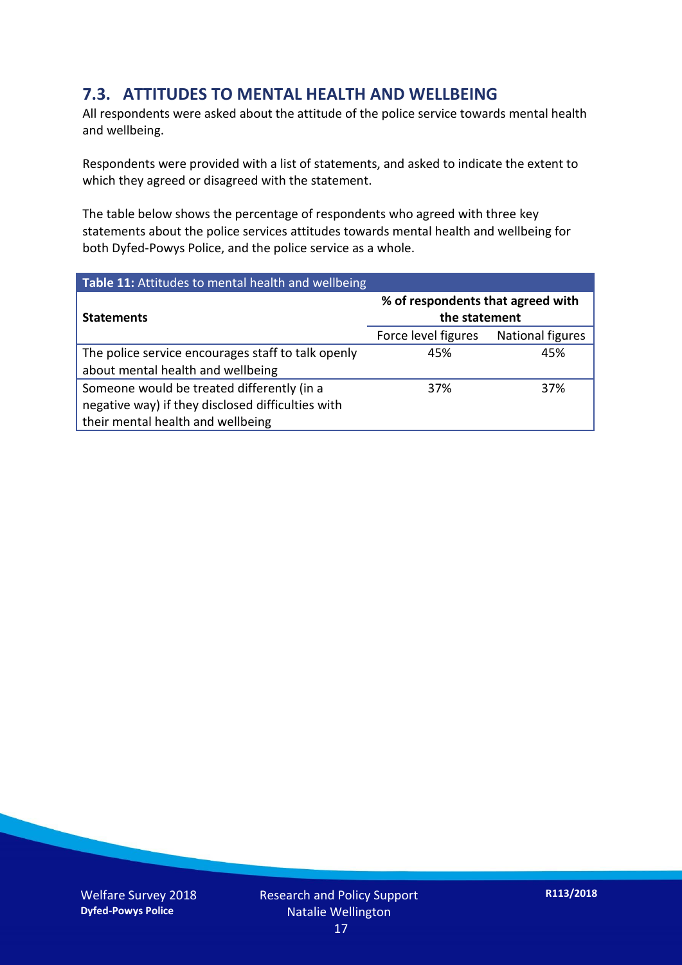#### **7.3. ATTITUDES TO MENTAL HEALTH AND WELLBEING**

All respondents were asked about the attitude of the police service towards mental health and wellbeing.

Respondents were provided with a list of statements, and asked to indicate the extent to which they agreed or disagreed with the statement.

The table below shows the percentage of respondents who agreed with three key statements about the police services attitudes towards mental health and wellbeing for both Dyfed-Powys Police, and the police service as a whole.

| Table 11: Attitudes to mental health and wellbeing |                                                    |                  |
|----------------------------------------------------|----------------------------------------------------|------------------|
| <b>Statements</b>                                  | % of respondents that agreed with<br>the statement |                  |
|                                                    | Force level figures                                | National figures |
| The police service encourages staff to talk openly | 45%                                                | 45%              |
| about mental health and wellbeing                  |                                                    |                  |
| Someone would be treated differently (in a         | 37%                                                | 37%              |
| negative way) if they disclosed difficulties with  |                                                    |                  |
| their mental health and wellbeing                  |                                                    |                  |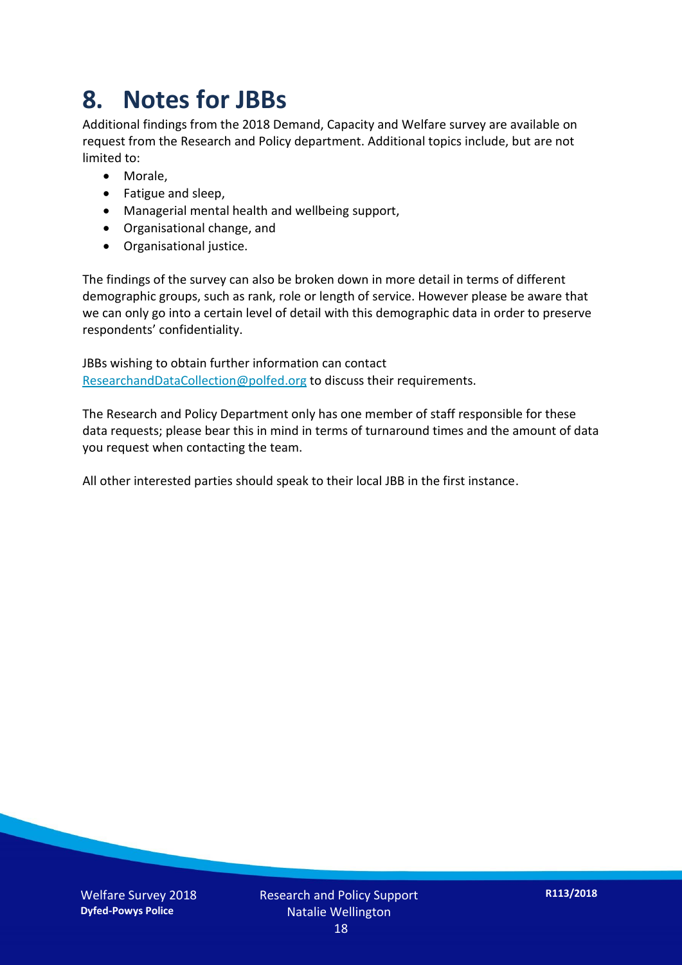### **8. Notes for JBBs**

Additional findings from the 2018 Demand, Capacity and Welfare survey are available on request from the Research and Policy department. Additional topics include, but are not limited to:

- Morale,
- Fatigue and sleep,
- Managerial mental health and wellbeing support,
- Organisational change, and
- Organisational justice.

The findings of the survey can also be broken down in more detail in terms of different demographic groups, such as rank, role or length of service. However please be aware that we can only go into a certain level of detail with this demographic data in order to preserve respondents' confidentiality.

JBBs wishing to obtain further information can contact [ResearchandDataCollection@polfed.org](mailto:ResearchandDataCollection@polfed.org) to discuss their requirements.

The Research and Policy Department only has one member of staff responsible for these data requests; please bear this in mind in terms of turnaround times and the amount of data you request when contacting the team.

All other interested parties should speak to their local JBB in the first instance.